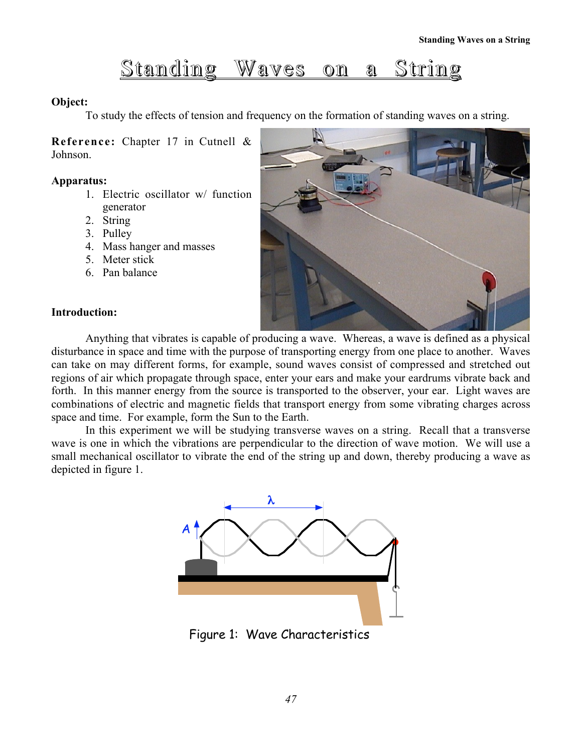# Standing Waves on a String

### Object:

To study the effects of tension and frequency on the formation of standing waves on a string.

Reference: Chapter 17 in Cutnell & Johnson.

#### Apparatus:

- 1. Electric oscillator w/ function generator
- 2. String
- 3. Pulley
- 4. Mass hanger and masses
- 5. Meter stick
- 6. Pan balance



#### Introduction:

Anything that vibrates is capable of producing a wave. Whereas, a wave is defined as a physical disturbance in space and time with the purpose of transporting energy from one place to another. Waves can take on may different forms, for example, sound waves consist of compressed and stretched out regions of air which propagate through space, enter your ears and make your eardrums vibrate back and forth. In this manner energy from the source is transported to the observer, your ear. Light waves are combinations of electric and magnetic fields that transport energy from some vibrating charges across space and time. For example, form the Sun to the Earth.

In this experiment we will be studying transverse waves on a string. Recall that a transverse wave is one in which the vibrations are perpendicular to the direction of wave motion. We will use a small mechanical oscillator to vibrate the end of the string up and down, thereby producing a wave as depicted in figure 1.



Figure 1: Wave Characteristics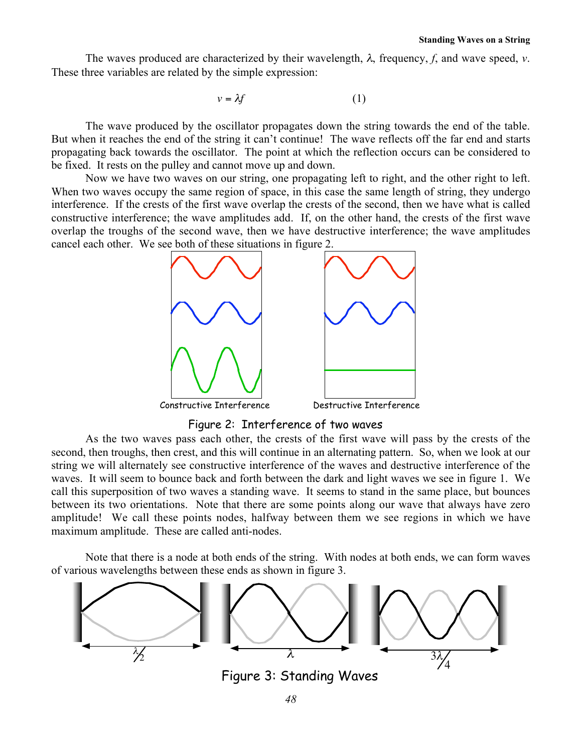The waves produced are characterized by their wavelength, λ, frequency, *f*, and wave speed, *v*. These three variables are related by the simple expression:

$$
v = \lambda f \tag{1}
$$

propagating back towards the oscillator. The point at which the reflection occurs can be considered to The wave produced by the oscillator propagates down the string towards the end of the table. But when it reaches the end of the string it can't continue! The wave reflects off the far end and starts be fixed. It rests on the pulley and cannot move up and down.

Now we have two waves on our string, one propagating left to right, and the other right to left. When two waves occupy the same region of space, in this case the same length of string, they undergo interference. If the crests of the first wave overlap the crests of the second, then we have what is called constructive interference; the wave amplitudes add. If, on the other hand, the crests of the first wave overlap the troughs of the second wave, then we have destructive interference; the wave amplitudes cancel each other. We see both of these situations in figure 2.



Figure 2: Interference of two waves

As the two waves pass each other, the crests of the first wave will pass by the crests of the second, then troughs, then crest, and this will continue in an alternating pattern. So, when we look at our string we will alternately see constructive interference of the waves and destructive interference of the waves. It will seem to bounce back and forth between the dark and light waves we see in figure 1. We call this superposition of two waves a standing wave. It seems to stand in the same place, but bounces between its two orientations. Note that there are some points along our wave that always have zero amplitude! We call these points nodes, halfway between them we see regions in which we have maximum amplitude. These are called anti-nodes.

Note that there is a node at both ends of the string. With nodes at both ends, we can form waves of various wavelengths between these ends as shown in figure 3.

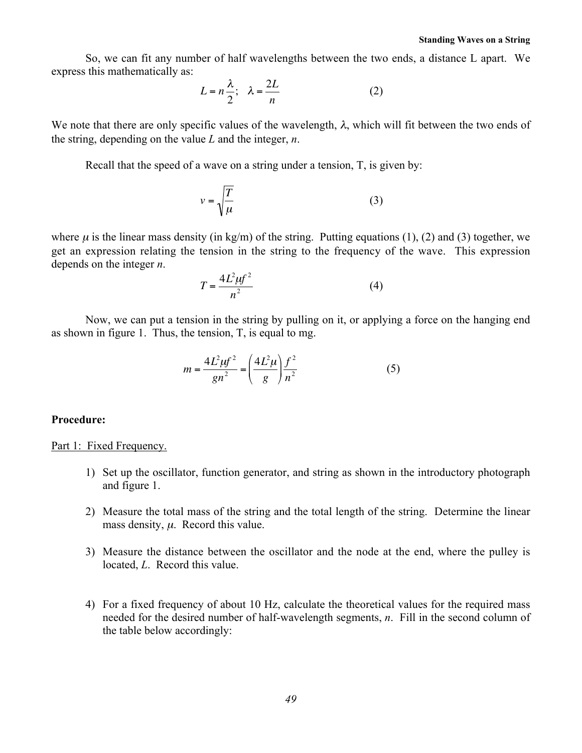So, we can fit any number of half wavelengths between the two ends, a distance L apart. We express this mathematically as:

$$
L = n\frac{\lambda}{2}; \quad \lambda = \frac{2L}{n} \tag{2}
$$

€ We note that there are only specific values of the wavelength,  $\lambda$ , which will fit between the two ends of the string, depending on the value *L* and the integer, *n*.

Recall that the speed of a wave on a string under a tension, T, is given by:

$$
v = \sqrt{\frac{T}{\mu}}\tag{3}
$$

where  $\mu$  is the linear mass density (in kg/m) of the string. Putting equations (1), (2) and (3) together, we get an expression relating the tension in the string to the frequency of the wave. This expression depends on the integer *n*.

$$
T = \frac{4L^2\mu f^2}{n^2} \tag{4}
$$

€ Now, we can put a tension in the string by pulling on it, or applying a force on the hanging end as shown in figure 1. Thus, the tension, T, is equal to mg.

$$
m = \frac{4L^2\mu f^2}{gn^2} = \left(\frac{4L^2\mu}{g}\right)\frac{f^2}{n^2}
$$
 (5)

#### Procedure:

#### Part 1: Fixed Frequency.

- 1) Set up the oscillator, function generator, and string as shown in the introductory photograph and figure 1.
- 2) Measure the total mass of the string and the total length of the string. Determine the linear mass density,  $\mu$ . Record this value.
- 3) Measure the distance between the oscillator and the node at the end, where the pulley is located, *L*. Record this value.
- 4) For a fixed frequency of about 10 Hz, calculate the theoretical values for the required mass needed for the desired number of half-wavelength segments, *n*. Fill in the second column of the table below accordingly: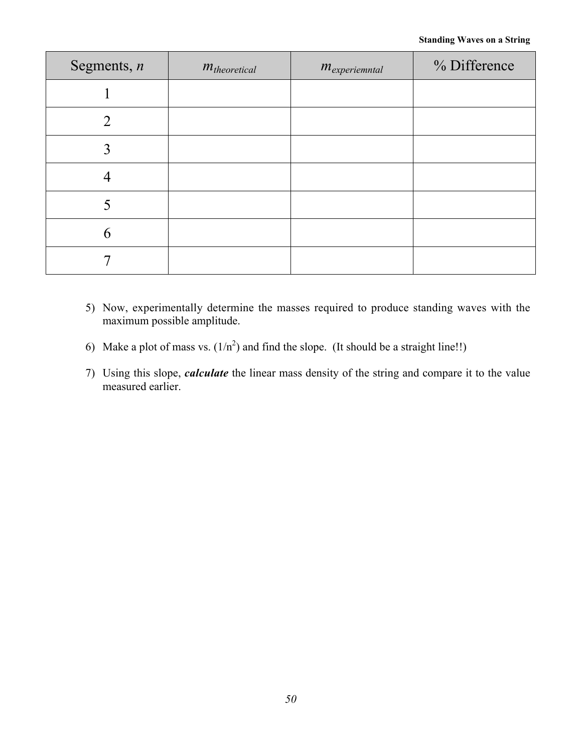| Segments, $n$  | $m_{theoretical}$ | $m_{experimental}$ | % Difference |
|----------------|-------------------|--------------------|--------------|
|                |                   |                    |              |
| $\overline{2}$ |                   |                    |              |
| 3              |                   |                    |              |
|                |                   |                    |              |
|                |                   |                    |              |
| 6              |                   |                    |              |
|                |                   |                    |              |

- 5) Now, experimentally determine the masses required to produce standing waves with the maximum possible amplitude.
- 6) Make a plot of mass vs.  $(1/n^2)$  and find the slope. (It should be a straight line!!)
- 7) Using this slope, *calculate* the linear mass density of the string and compare it to the value measured earlier.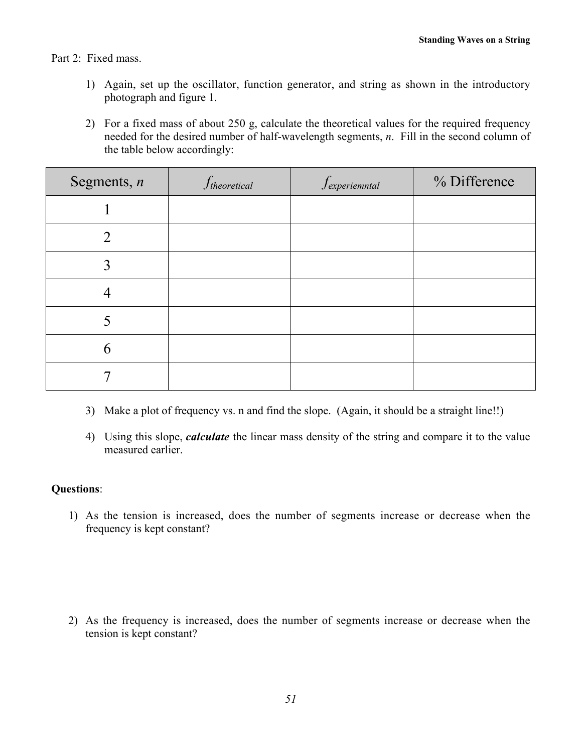# Part 2: Fixed mass.

- 1) Again, set up the oscillator, function generator, and string as shown in the introductory photograph and figure 1.
- 2) For a fixed mass of about 250 g, calculate the theoretical values for the required frequency needed for the desired number of half-wavelength segments, *n*. Fill in the second column of the table below accordingly:

| Segments, $n$  | $f_{theoretical}$ | $f$ <sub>experiemntal</sub> | % Difference |
|----------------|-------------------|-----------------------------|--------------|
|                |                   |                             |              |
| $\overline{2}$ |                   |                             |              |
| 3              |                   |                             |              |
| 4              |                   |                             |              |
|                |                   |                             |              |
| 6              |                   |                             |              |
|                |                   |                             |              |

- 3) Make a plot of frequency vs. n and find the slope. (Again, it should be a straight line!!)
- 4) Using this slope, *calculate* the linear mass density of the string and compare it to the value measured earlier.

## Questions:

1) As the tension is increased, does the number of segments increase or decrease when the frequency is kept constant?

2) As the frequency is increased, does the number of segments increase or decrease when the tension is kept constant?